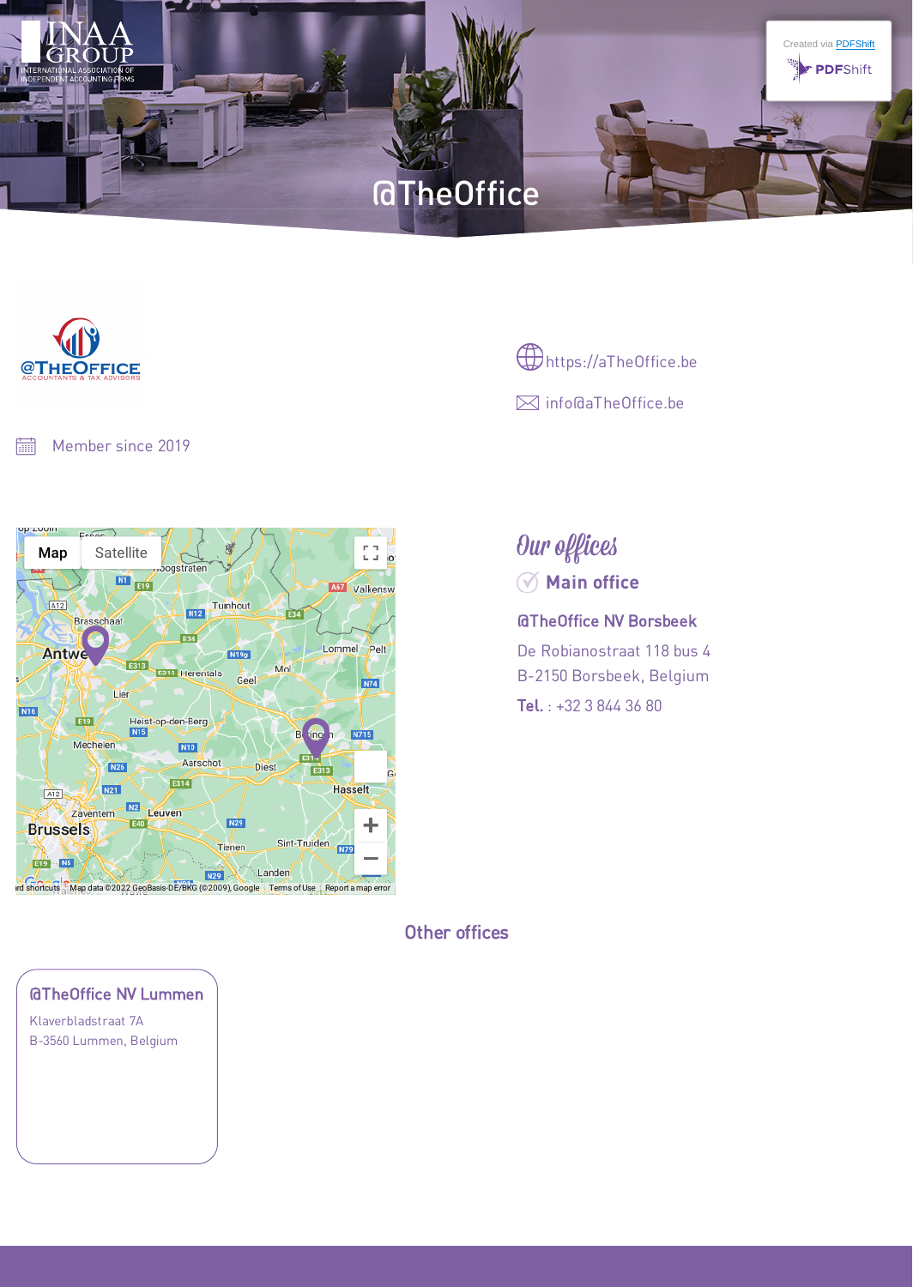

## Other offices

Our offices

@TheOffice NV Borsbeek

**Main office**  $\oslash$ 

De Robianostraat 118 bus 4 B-2150 Borsbeek, Belgium Tel. : +32 3 844 36 80





Member since 2019